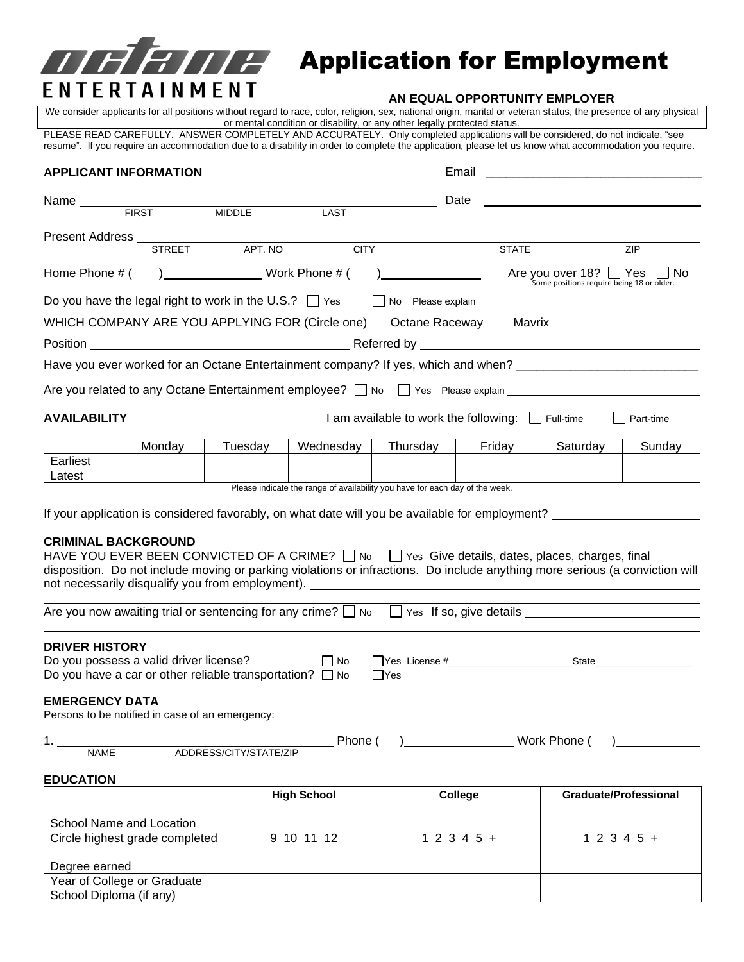

# **APPE Application for Employment**

We consider applicants for all positions without regard to race, color, religion, sex, national origin, marital or veteran status, the presence of any physical or mental condition or disability, or any other legally protected status.

PLEASE READ CAREFULLY. ANSWER COMPLETELY AND ACCURATELY. Only completed applications will be considered, do not indicate, "see resume". If you require an accommodation due to a disability in order to complete the application, please let us know what accommodation you require.

## **APPLICANT INFORMATION** Email \_\_\_\_\_\_\_\_\_\_\_\_\_\_\_\_\_\_\_\_\_\_\_\_\_\_\_\_\_\_\_\_

Year of College or Graduate School Diploma (if any)

|  |  | E <sub>mar</sub> u |  |  |  |
|--|--|--------------------|--|--|--|

| <b>APPLICANT INFORMATION</b>                   |                                                                                                                                                                                                                                                                                                                                |                        |                    |                                                                              | Email<br><u> 1980 - John Stone, Amerikaansk politiker (</u> |                                                                          |                              |  |
|------------------------------------------------|--------------------------------------------------------------------------------------------------------------------------------------------------------------------------------------------------------------------------------------------------------------------------------------------------------------------------------|------------------------|--------------------|------------------------------------------------------------------------------|-------------------------------------------------------------|--------------------------------------------------------------------------|------------------------------|--|
| Name $\_\_$                                    |                                                                                                                                                                                                                                                                                                                                |                        |                    | Date                                                                         |                                                             |                                                                          |                              |  |
|                                                | FIRST MIDDLE                                                                                                                                                                                                                                                                                                                   |                        | <b>LAST</b>        |                                                                              |                                                             |                                                                          |                              |  |
|                                                | Present Address<br>STREET APT. NO                                                                                                                                                                                                                                                                                              |                        |                    |                                                                              |                                                             |                                                                          |                              |  |
|                                                |                                                                                                                                                                                                                                                                                                                                |                        | <b>CITY</b>        |                                                                              | <b>STATE</b>                                                |                                                                          | ZIP                          |  |
| Home Phone # (                                 | ) Work Phone # (                                                                                                                                                                                                                                                                                                               |                        |                    |                                                                              |                                                             | Are you over 18? Thes Thompson Some positions require being 18 or older. |                              |  |
|                                                | Do you have the legal right to work in the U.S.? $\Box$ Yes                                                                                                                                                                                                                                                                    |                        |                    | No Please explain No. 2014 19:00 No. 2014                                    |                                                             |                                                                          |                              |  |
|                                                | WHICH COMPANY ARE YOU APPLYING FOR (Circle one) Octane Raceway Mavrix                                                                                                                                                                                                                                                          |                        |                    |                                                                              |                                                             |                                                                          |                              |  |
|                                                |                                                                                                                                                                                                                                                                                                                                |                        |                    |                                                                              |                                                             |                                                                          |                              |  |
|                                                | Have you ever worked for an Octane Entertainment company? If yes, which and when? ____________________________                                                                                                                                                                                                                 |                        |                    |                                                                              |                                                             |                                                                          |                              |  |
|                                                |                                                                                                                                                                                                                                                                                                                                |                        |                    |                                                                              |                                                             |                                                                          |                              |  |
| <b>AVAILABILITY</b>                            |                                                                                                                                                                                                                                                                                                                                |                        |                    | I am available to work the following: $\Box$ Full-time                       |                                                             |                                                                          | Part-time                    |  |
|                                                | Monday                                                                                                                                                                                                                                                                                                                         | Tuesday                | Wednesday          | Thursday                                                                     | Friday                                                      | Saturday                                                                 | Sunday                       |  |
| Earliest                                       |                                                                                                                                                                                                                                                                                                                                |                        |                    |                                                                              |                                                             |                                                                          |                              |  |
| Latest                                         |                                                                                                                                                                                                                                                                                                                                |                        |                    | Please indicate the range of availability you have for each day of the week. |                                                             |                                                                          |                              |  |
| <b>CRIMINAL BACKGROUND</b>                     | HAVE YOU EVER BEEN CONVICTED OF A CRIME? $\Box$ No $\Box$ Yes Give details, dates, places, charges, final<br>disposition. Do not include moving or parking violations or infractions. Do include anything more serious (a conviction will<br>not necessarily disqualify you from employment). ________________________________ |                        |                    |                                                                              |                                                             |                                                                          |                              |  |
|                                                | Are you now awaiting trial or sentencing for any crime? $\Box$ No $\Box$ Yes If so, give details                                                                                                                                                                                                                               |                        |                    |                                                                              |                                                             |                                                                          |                              |  |
| <b>DRIVER HISTORY</b><br><b>EMERGENCY DATA</b> | Do you possess a valid driver license? $\Box$ No<br>Do you have a car or other reliable transportation? $\Box$ No<br>Persons to be notified in case of an emergency:                                                                                                                                                           |                        |                    | $\Box$ Yes                                                                   |                                                             |                                                                          |                              |  |
| 1.<br><b>NAME</b>                              |                                                                                                                                                                                                                                                                                                                                | ADDRESS/CITY/STATE/ZIP | $\_$ Phone (       |                                                                              | Mork Phone (                                                |                                                                          |                              |  |
| <b>EDUCATION</b>                               |                                                                                                                                                                                                                                                                                                                                |                        |                    |                                                                              |                                                             |                                                                          |                              |  |
|                                                |                                                                                                                                                                                                                                                                                                                                |                        | <b>High School</b> | College                                                                      |                                                             |                                                                          | <b>Graduate/Professional</b> |  |
|                                                | School Name and Location                                                                                                                                                                                                                                                                                                       |                        |                    |                                                                              |                                                             |                                                                          |                              |  |
|                                                | Circle highest grade completed                                                                                                                                                                                                                                                                                                 |                        | 9 10 11 12         | $12345+$                                                                     |                                                             |                                                                          | $12345+$                     |  |
| Degree earned                                  |                                                                                                                                                                                                                                                                                                                                |                        |                    |                                                                              |                                                             |                                                                          |                              |  |